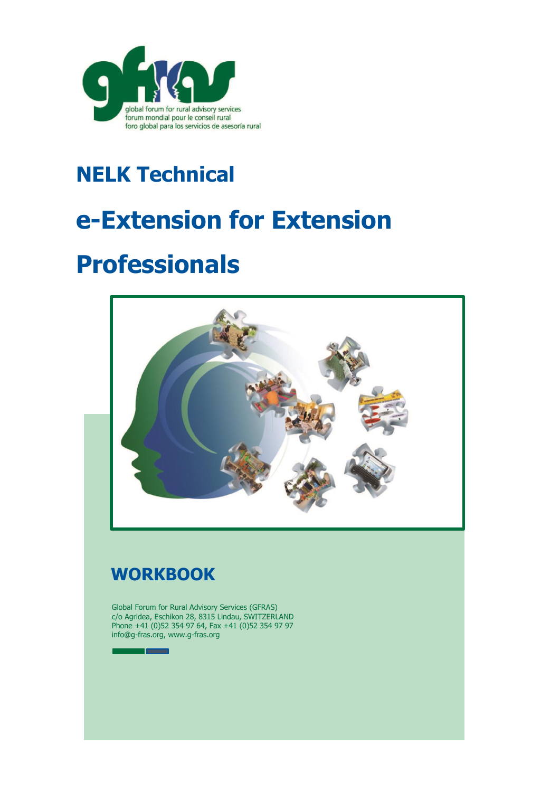

# **NELK Technical**

# **e-Extension for Extension**

# **Professionals**



## **WORKBOOK**

**The State** 

Global Forum for Rural Advisory Services (GFRAS) c/o Agridea, Eschikon 28, 8315 Lindau, SWITZERLAND Phone +41 (0)52 354 97 64, Fax +41 (0)52 354 97 97 info@g-fras.org, www.g-fras.org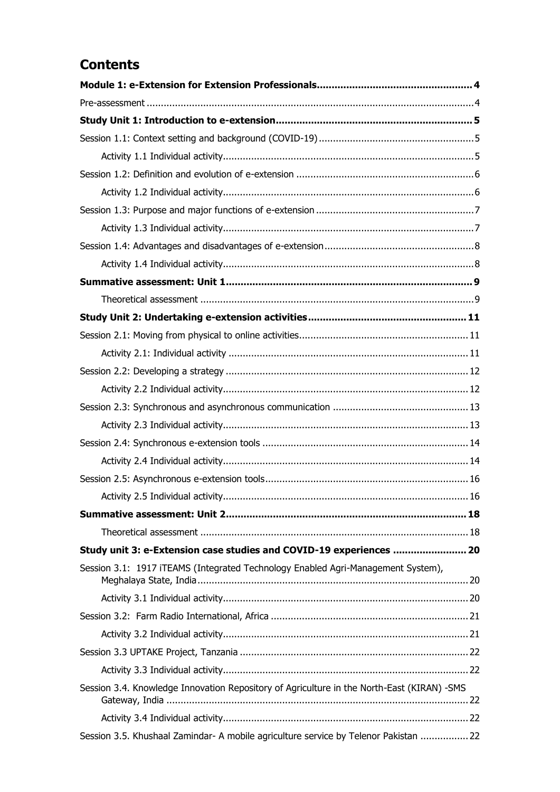### **Contents**

| Study unit 3: e-Extension case studies and COVID-19 experiences  20                        |  |
|--------------------------------------------------------------------------------------------|--|
| Session 3.1: 1917 iTEAMS (Integrated Technology Enabled Agri-Management System),           |  |
|                                                                                            |  |
|                                                                                            |  |
|                                                                                            |  |
|                                                                                            |  |
|                                                                                            |  |
| Session 3.4. Knowledge Innovation Repository of Agriculture in the North-East (KIRAN) -SMS |  |
|                                                                                            |  |
| Session 3.5. Khushaal Zamindar- A mobile agriculture service by Telenor Pakistan  22       |  |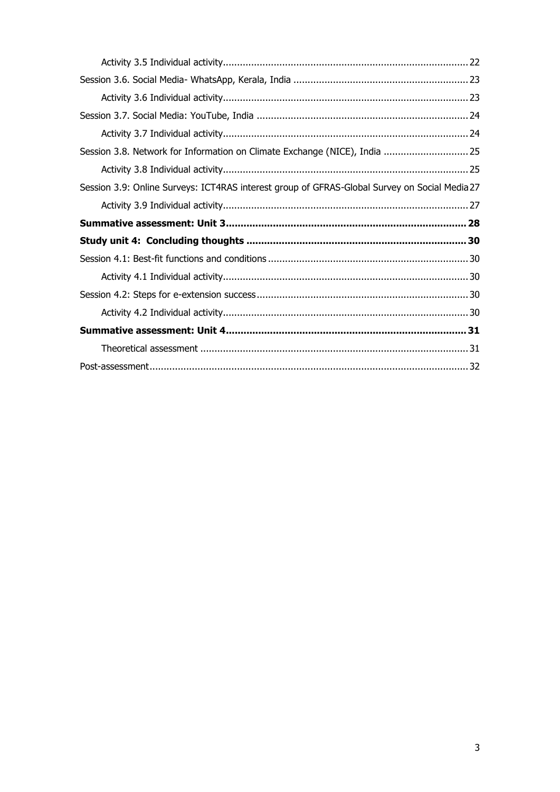| Session 3.8. Network for Information on Climate Exchange (NICE), India  25                    |  |
|-----------------------------------------------------------------------------------------------|--|
|                                                                                               |  |
| Session 3.9: Online Surveys: ICT4RAS interest group of GFRAS-Global Survey on Social Media 27 |  |
|                                                                                               |  |
|                                                                                               |  |
|                                                                                               |  |
|                                                                                               |  |
|                                                                                               |  |
|                                                                                               |  |
|                                                                                               |  |
|                                                                                               |  |
|                                                                                               |  |
|                                                                                               |  |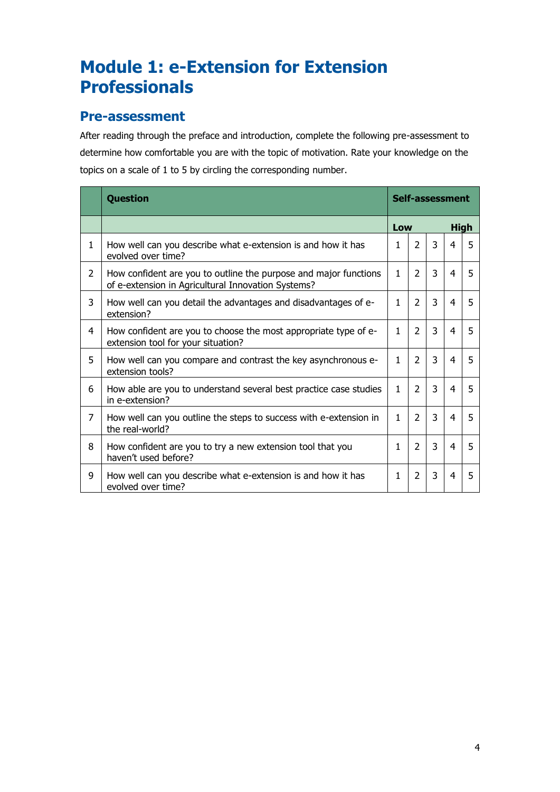## <span id="page-3-0"></span>**Module 1: e-Extension for Extension Professionals**

#### <span id="page-3-1"></span>**Pre-assessment**

After reading through the preface and introduction, complete the following pre-assessment to determine how comfortable you are with the topic of motivation. Rate your knowledge on the topics on a scale of 1 to 5 by circling the corresponding number.

|                | <b>Question</b>                                                                                                        | Self-assessment |                |                |   |             |  |
|----------------|------------------------------------------------------------------------------------------------------------------------|-----------------|----------------|----------------|---|-------------|--|
|                |                                                                                                                        | Low             |                |                |   | <b>High</b> |  |
| $\mathbf{1}$   | How well can you describe what e-extension is and how it has<br>evolved over time?                                     | 1               | $\mathcal{P}$  | $\overline{3}$ | 4 | 5           |  |
| $\overline{2}$ | How confident are you to outline the purpose and major functions<br>of e-extension in Agricultural Innovation Systems? | $\mathbf{1}$    | $\mathcal{P}$  | 3              | 4 | 5           |  |
| 3              | How well can you detail the advantages and disadvantages of e-<br>extension?                                           | 1.              | $\mathcal{P}$  | 3              | 4 | 5           |  |
| 4              | How confident are you to choose the most appropriate type of e-<br>extension tool for your situation?                  | 1.              | $\mathcal{P}$  | $\overline{3}$ | 4 | 5           |  |
| 5              | How well can you compare and contrast the key asynchronous e-<br>extension tools?                                      | 1.              | $\mathcal{P}$  | 3              | 4 | 5           |  |
| 6              | How able are you to understand several best practice case studies<br>in e-extension?                                   | 1               | $\overline{2}$ | $\overline{3}$ | 4 | 5           |  |
| 7              | How well can you outline the steps to success with e-extension in<br>the real-world?                                   | 1               | $\overline{2}$ | $\overline{3}$ | 4 | 5           |  |
| 8              | How confident are you to try a new extension tool that you<br>haven't used before?                                     | 1               | $\overline{2}$ | 3              | 4 | 5           |  |
| 9              | How well can you describe what e-extension is and how it has<br>evolved over time?                                     | 1               | $\overline{2}$ | 3              | 4 | 5           |  |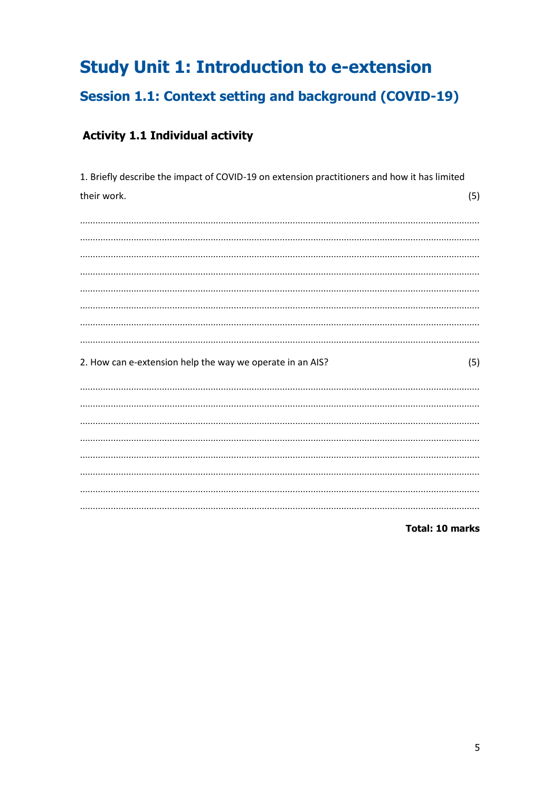# <span id="page-4-0"></span>**Study Unit 1: Introduction to e-extension**

## <span id="page-4-1"></span>**Session 1.1: Context setting and background (COVID-19)**

## <span id="page-4-2"></span>**Activity 1.1 Individual activity**

| 1. Briefly describe the impact of COVID-19 on extension practitioners and how it has limited |     |
|----------------------------------------------------------------------------------------------|-----|
| their work.                                                                                  | (5) |
|                                                                                              |     |
|                                                                                              |     |
|                                                                                              |     |
|                                                                                              |     |
|                                                                                              |     |
|                                                                                              |     |
|                                                                                              |     |
|                                                                                              |     |
|                                                                                              |     |
|                                                                                              |     |
| 2. How can e-extension help the way we operate in an AIS?                                    | (5) |
|                                                                                              |     |
|                                                                                              |     |
|                                                                                              |     |
|                                                                                              |     |
|                                                                                              |     |
|                                                                                              |     |
|                                                                                              |     |
|                                                                                              |     |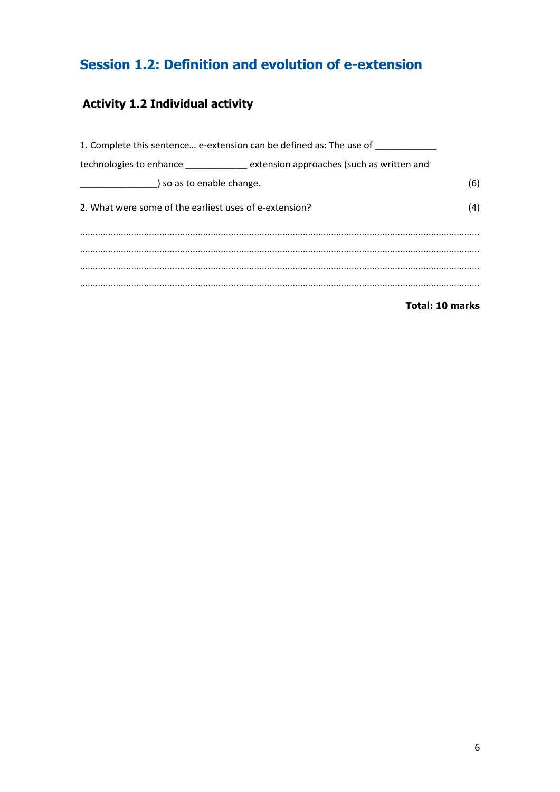## <span id="page-5-0"></span>**Session 1.2: Definition and evolution of e-extension**

## <span id="page-5-1"></span>**Activity 1.2 Individual activity**

|                                                        | 1. Complete this sentence e-extension can be defined as: The use of __________ |                        |
|--------------------------------------------------------|--------------------------------------------------------------------------------|------------------------|
|                                                        | technologies to enhance ___________ extension approaches (such as written and  |                        |
|                                                        |                                                                                | (6)                    |
| 2. What were some of the earliest uses of e-extension? |                                                                                | (4)                    |
|                                                        |                                                                                |                        |
|                                                        |                                                                                |                        |
|                                                        |                                                                                |                        |
|                                                        |                                                                                |                        |
|                                                        |                                                                                | <b>Total: 10 marks</b> |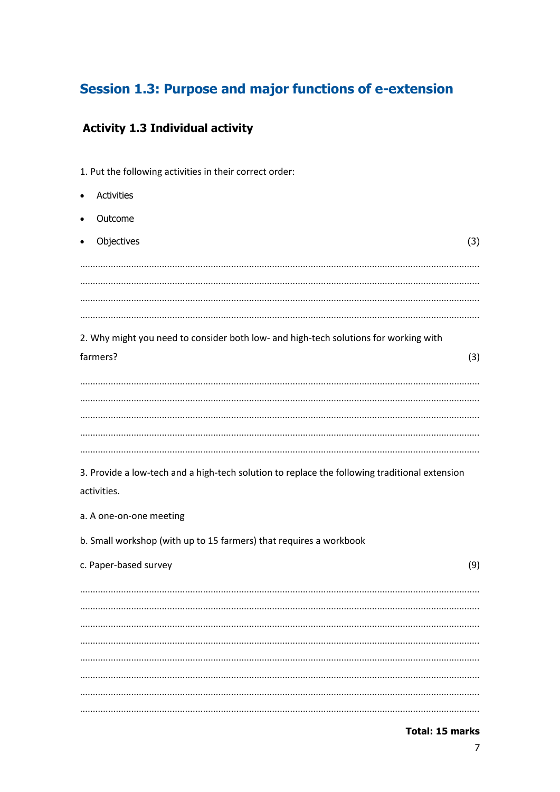#### <span id="page-6-0"></span>**Session 1.3: Purpose and major functions of e-extension**

#### <span id="page-6-1"></span>**Activity 1.3 Individual activity**

1. Put the following activities in their correct order:

**Activities** • Outcome Objectives (3) ………………………………………………………………………………………………………………………………………… ………………………………………………………………………………………………………………………………………… ………………………………………………………………………………………………………………………………………… ………………………………………………………………………………………………………………………………………… 2. Why might you need to consider both low- and high-tech solutions for working with farmers? (3) ………………………………………………………………………………………………………………………………………… ………………………………………………………………………………………………………………………………………… ………………………………………………………………………………………………………………………………………… ………………………………………………………………………………………………………………………………………… ………………………………………………………………………………………………………………………………………… 3. Provide a low-tech and a high-tech solution to replace the following traditional extension activities. a. A one-on-one meeting b. Small workshop (with up to 15 farmers) that requires a workbook c. Paper-based survey (9) ………………………………………………………………………………………………………………………………………… ………………………………………………………………………………………………………………………………………… ………………………………………………………………………………………………………………………………………… ………………………………………………………………………………………………………………………………………… ………………………………………………………………………………………………………………………………………… ………………………………………………………………………………………………………………………………………… ………………………………………………………………………………………………………………………………………… …………………………………………………………………………………………………………………………………………

**Total: 15 marks**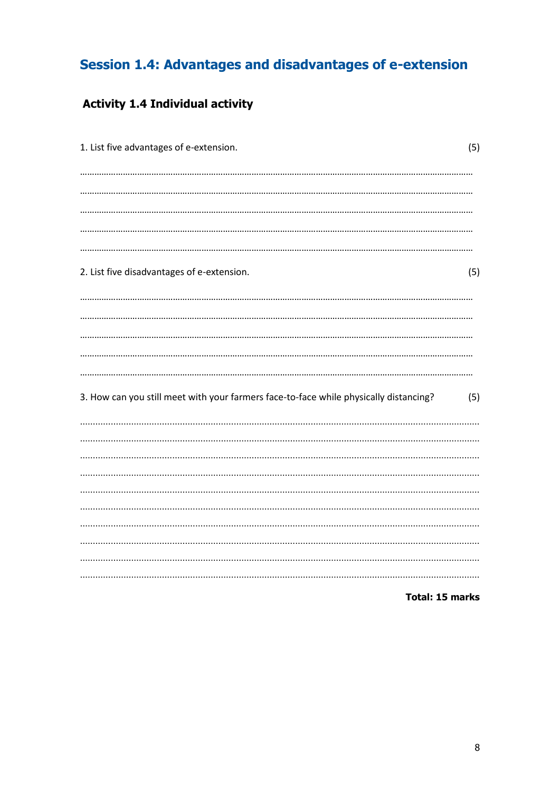## <span id="page-7-0"></span>Session 1.4: Advantages and disadvantages of e-extension

## <span id="page-7-1"></span>**Activity 1.4 Individual activity**

| 1. List five advantages of e-extension.                                               | (5) |
|---------------------------------------------------------------------------------------|-----|
|                                                                                       |     |
|                                                                                       |     |
|                                                                                       |     |
|                                                                                       |     |
| 2. List five disadvantages of e-extension.                                            | (5) |
|                                                                                       |     |
|                                                                                       |     |
|                                                                                       |     |
|                                                                                       |     |
|                                                                                       |     |
| 3. How can you still meet with your farmers face-to-face while physically distancing? | (5) |
|                                                                                       |     |
|                                                                                       |     |
|                                                                                       |     |
|                                                                                       |     |
|                                                                                       |     |
|                                                                                       |     |
|                                                                                       |     |
|                                                                                       |     |
| <b>Total: 15 marks</b>                                                                |     |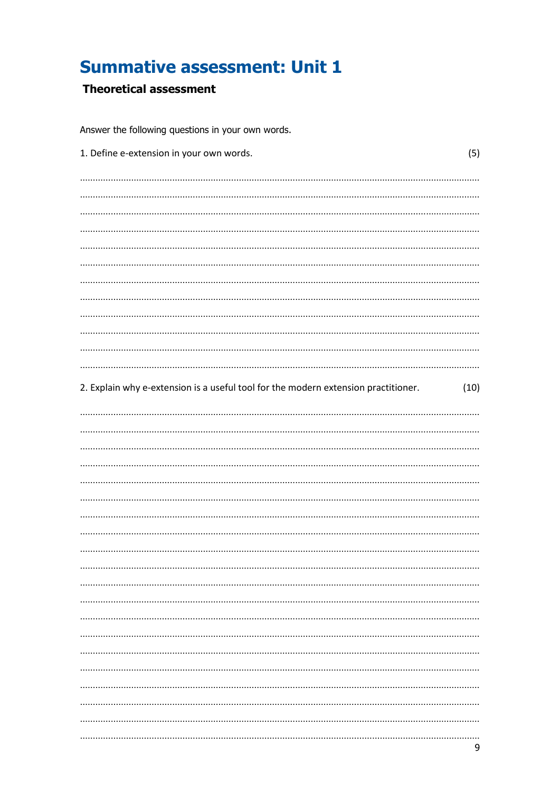## <span id="page-8-0"></span>**Summative assessment: Unit 1**

#### <span id="page-8-1"></span>**Theoretical assessment**

| Answer the following questions in your own words.                                  |      |  |  |
|------------------------------------------------------------------------------------|------|--|--|
| 1. Define e-extension in your own words.                                           | (5)  |  |  |
|                                                                                    |      |  |  |
|                                                                                    |      |  |  |
|                                                                                    |      |  |  |
|                                                                                    |      |  |  |
|                                                                                    |      |  |  |
|                                                                                    |      |  |  |
|                                                                                    |      |  |  |
|                                                                                    |      |  |  |
|                                                                                    |      |  |  |
|                                                                                    |      |  |  |
|                                                                                    |      |  |  |
|                                                                                    |      |  |  |
| 2. Explain why e-extension is a useful tool for the modern extension practitioner. | (10) |  |  |
|                                                                                    |      |  |  |
|                                                                                    |      |  |  |
|                                                                                    |      |  |  |
|                                                                                    |      |  |  |
|                                                                                    |      |  |  |
|                                                                                    |      |  |  |
|                                                                                    |      |  |  |
|                                                                                    |      |  |  |
|                                                                                    |      |  |  |
|                                                                                    |      |  |  |
|                                                                                    |      |  |  |
|                                                                                    |      |  |  |
|                                                                                    |      |  |  |
|                                                                                    |      |  |  |
|                                                                                    |      |  |  |
|                                                                                    |      |  |  |
|                                                                                    |      |  |  |
|                                                                                    |      |  |  |
|                                                                                    |      |  |  |
|                                                                                    |      |  |  |
|                                                                                    |      |  |  |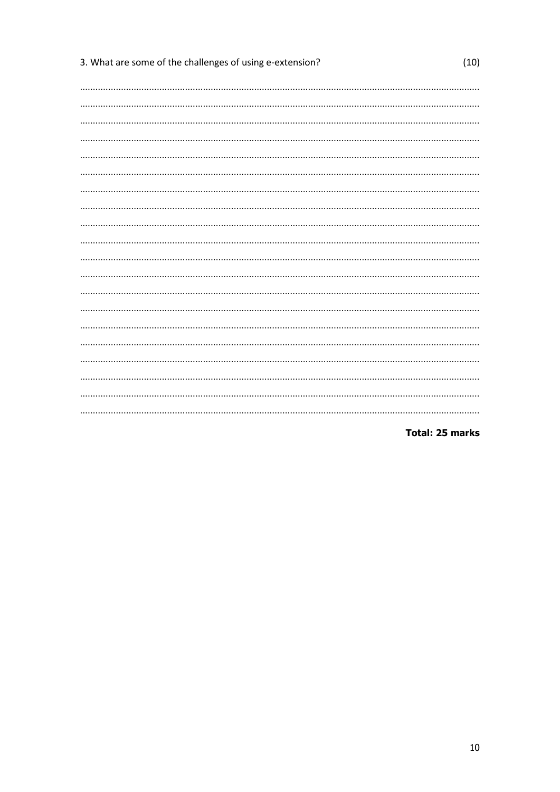| 3. What are some of the challenges of using e-extension? | (10) |
|----------------------------------------------------------|------|
|                                                          |      |
|                                                          |      |
|                                                          |      |
|                                                          |      |
|                                                          |      |
|                                                          |      |
|                                                          |      |
|                                                          |      |
|                                                          |      |
|                                                          |      |
|                                                          |      |
|                                                          |      |
|                                                          |      |
|                                                          |      |
|                                                          |      |
|                                                          |      |
|                                                          |      |
|                                                          |      |
|                                                          |      |
|                                                          |      |
|                                                          |      |
|                                                          |      |

**Total: 25 marks**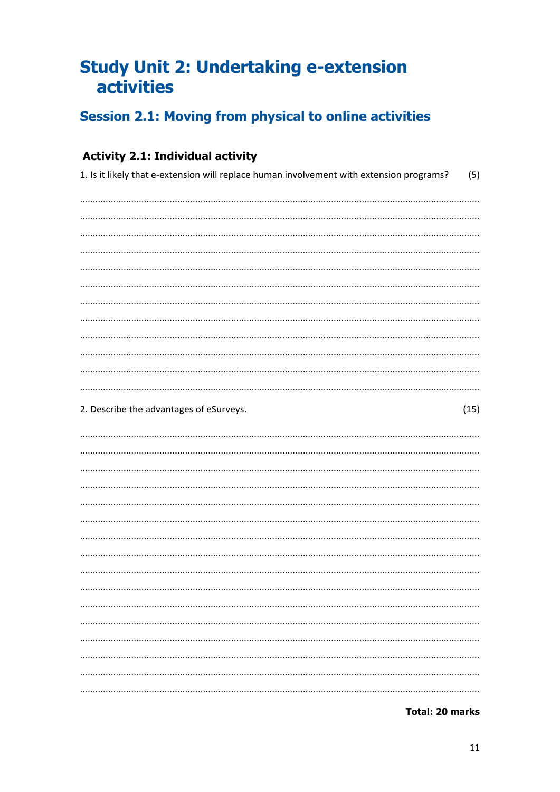## <span id="page-10-0"></span>**Study Unit 2: Undertaking e-extension** activities

## <span id="page-10-1"></span>**Session 2.1: Moving from physical to online activities**

### <span id="page-10-2"></span>**Activity 2.1: Individual activity**

| 1. Is it likely that e-extension will replace human involvement with extension programs?<br>(5) |
|-------------------------------------------------------------------------------------------------|
|                                                                                                 |
|                                                                                                 |
|                                                                                                 |
|                                                                                                 |
|                                                                                                 |
|                                                                                                 |
|                                                                                                 |
|                                                                                                 |
|                                                                                                 |
|                                                                                                 |
|                                                                                                 |
|                                                                                                 |
| 2. Describe the advantages of eSurveys.<br>(15)                                                 |
|                                                                                                 |
|                                                                                                 |
|                                                                                                 |
|                                                                                                 |
|                                                                                                 |
|                                                                                                 |
|                                                                                                 |
|                                                                                                 |
|                                                                                                 |
|                                                                                                 |
|                                                                                                 |
|                                                                                                 |
|                                                                                                 |
|                                                                                                 |
|                                                                                                 |
|                                                                                                 |

**Total: 20 marks**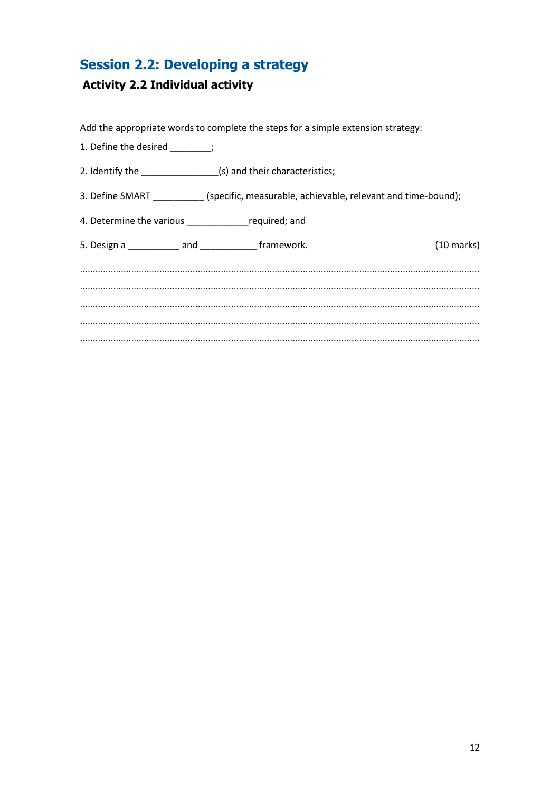## <span id="page-11-0"></span>**Session 2.2: Developing a strategy**

#### <span id="page-11-1"></span>**Activity 2.2 Individual activity**

Add the appropriate words to complete the steps for a simple extension strategy:

- 1. Define the desired \_\_\_\_\_\_\_;
- 2. Identify the \_\_\_\_\_\_\_\_\_\_\_\_\_\_\_\_\_\_(s) and their characteristics;
- 3. Define SMART \_\_\_\_\_\_\_\_\_\_ (specific, measurable, achievable, relevant and time-bound);
- 4. Determine the various \_\_\_\_\_\_\_\_\_\_\_\_required; and

| 5. Design a | and | framework. | $(10 \text{ marks})$ |
|-------------|-----|------------|----------------------|
|             |     |            |                      |
|             |     |            |                      |
|             |     |            |                      |
|             |     |            |                      |
|             |     |            |                      |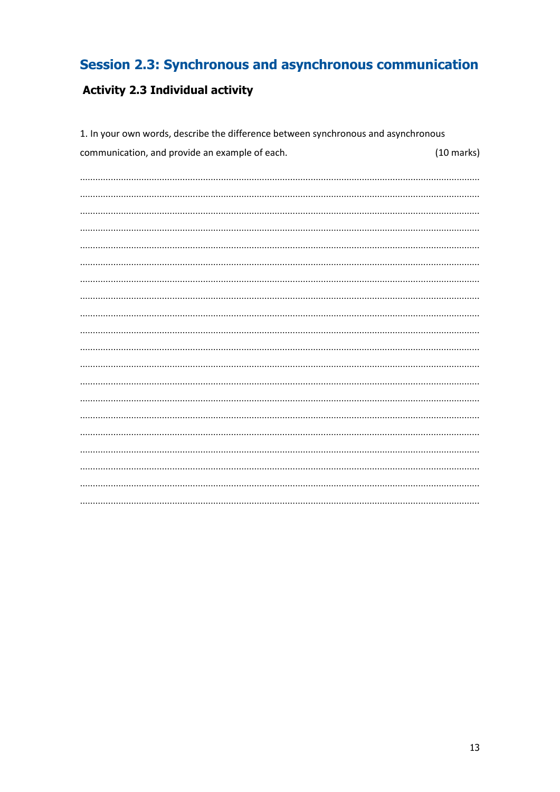## <span id="page-12-0"></span>**Session 2.3: Synchronous and asynchronous communication**

## <span id="page-12-1"></span>**Activity 2.3 Individual activity**

| 1. In your own words, describe the difference between synchronous and asynchronous |                      |  |
|------------------------------------------------------------------------------------|----------------------|--|
| communication, and provide an example of each.                                     | $(10 \text{ marks})$ |  |
|                                                                                    |                      |  |
|                                                                                    |                      |  |
|                                                                                    |                      |  |
|                                                                                    |                      |  |
|                                                                                    |                      |  |
|                                                                                    |                      |  |
|                                                                                    |                      |  |
|                                                                                    |                      |  |
|                                                                                    |                      |  |
|                                                                                    |                      |  |
|                                                                                    |                      |  |
|                                                                                    |                      |  |
|                                                                                    |                      |  |
|                                                                                    |                      |  |
|                                                                                    |                      |  |
|                                                                                    |                      |  |
|                                                                                    |                      |  |
|                                                                                    |                      |  |
|                                                                                    |                      |  |
|                                                                                    |                      |  |
|                                                                                    |                      |  |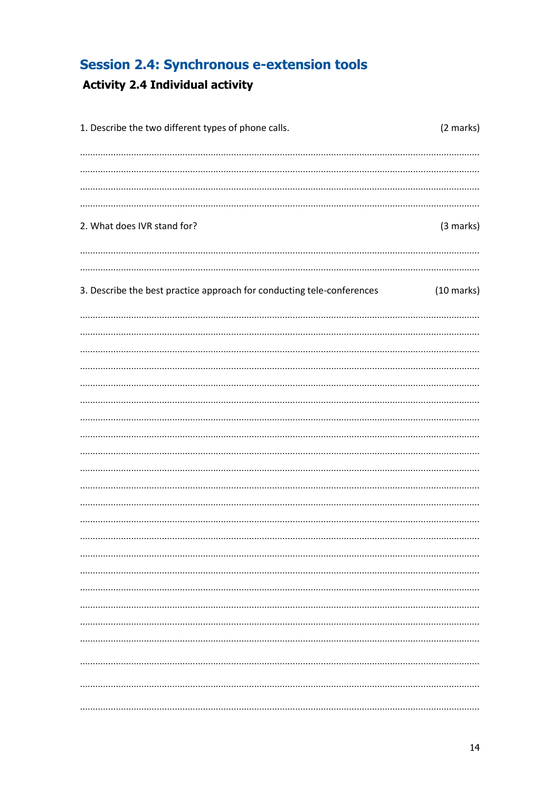## <span id="page-13-0"></span>**Session 2.4: Synchronous e-extension tools**

## <span id="page-13-1"></span>**Activity 2.4 Individual activity**

| 1. Describe the two different types of phone calls.                    | (2 marks)            |
|------------------------------------------------------------------------|----------------------|
|                                                                        |                      |
|                                                                        |                      |
|                                                                        |                      |
|                                                                        |                      |
| 2. What does IVR stand for?                                            | (3 marks)            |
|                                                                        |                      |
|                                                                        |                      |
| 3. Describe the best practice approach for conducting tele-conferences | $(10 \text{ marks})$ |
|                                                                        |                      |
|                                                                        |                      |
|                                                                        |                      |
|                                                                        |                      |
|                                                                        |                      |
|                                                                        |                      |
|                                                                        |                      |
|                                                                        |                      |
|                                                                        |                      |
|                                                                        |                      |
|                                                                        |                      |
|                                                                        |                      |
|                                                                        |                      |
|                                                                        |                      |
|                                                                        |                      |
|                                                                        |                      |
|                                                                        |                      |
|                                                                        |                      |
|                                                                        |                      |
|                                                                        |                      |
|                                                                        |                      |
|                                                                        |                      |
|                                                                        |                      |
|                                                                        |                      |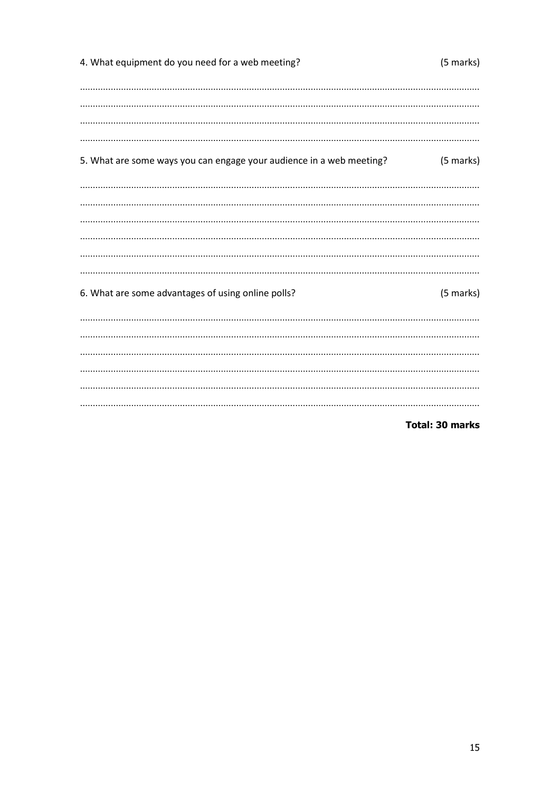| 4. What equipment do you need for a web meeting?                     | (5 marks) |
|----------------------------------------------------------------------|-----------|
|                                                                      |           |
|                                                                      |           |
|                                                                      |           |
| 5. What are some ways you can engage your audience in a web meeting? | (5 marks) |
|                                                                      |           |
|                                                                      |           |
|                                                                      |           |
| 6. What are some advantages of using online polls?                   | (5 marks) |
|                                                                      |           |
|                                                                      |           |
|                                                                      |           |
|                                                                      |           |
|                                                                      |           |

**Total: 30 marks**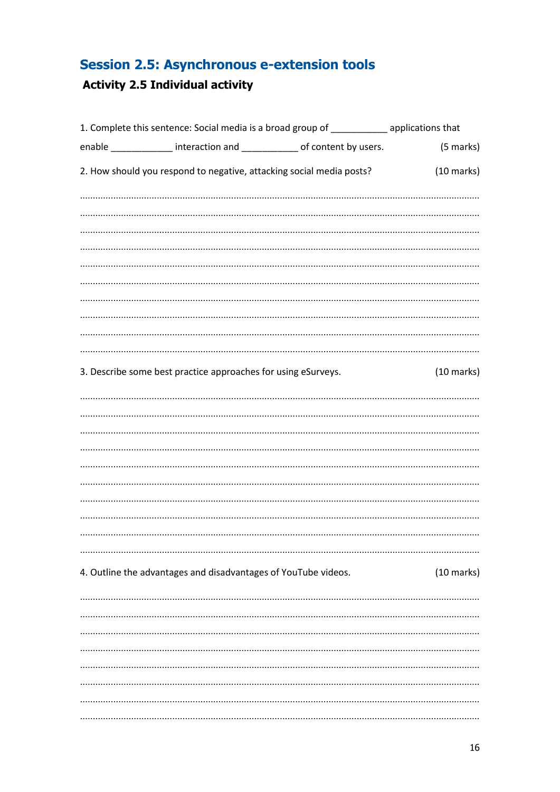## <span id="page-15-0"></span>**Session 2.5: Asynchronous e-extension tools**

## <span id="page-15-1"></span>**Activity 2.5 Individual activity**

| 1. Complete this sentence: Social media is a broad group of ___________ applications that |                                                                         |  |                      |
|-------------------------------------------------------------------------------------------|-------------------------------------------------------------------------|--|----------------------|
|                                                                                           | enable ______________ interaction and ____________ of content by users. |  | (5 marks)            |
|                                                                                           | 2. How should you respond to negative, attacking social media posts?    |  | $(10 \text{ marks})$ |
|                                                                                           |                                                                         |  |                      |
|                                                                                           |                                                                         |  |                      |
|                                                                                           |                                                                         |  |                      |
|                                                                                           |                                                                         |  |                      |
|                                                                                           |                                                                         |  |                      |
|                                                                                           |                                                                         |  |                      |
|                                                                                           |                                                                         |  |                      |
|                                                                                           |                                                                         |  |                      |
|                                                                                           |                                                                         |  |                      |
|                                                                                           |                                                                         |  |                      |
|                                                                                           | 3. Describe some best practice approaches for using eSurveys.           |  | $(10 \text{ marks})$ |
|                                                                                           |                                                                         |  |                      |
|                                                                                           |                                                                         |  |                      |
|                                                                                           |                                                                         |  |                      |
|                                                                                           |                                                                         |  |                      |
|                                                                                           |                                                                         |  |                      |
|                                                                                           |                                                                         |  |                      |
|                                                                                           |                                                                         |  |                      |
|                                                                                           |                                                                         |  |                      |
|                                                                                           |                                                                         |  |                      |
|                                                                                           |                                                                         |  |                      |
|                                                                                           | 4. Outline the advantages and disadvantages of YouTube videos.          |  | $(10 \text{ marks})$ |
|                                                                                           |                                                                         |  |                      |
|                                                                                           |                                                                         |  |                      |
|                                                                                           |                                                                         |  |                      |
|                                                                                           |                                                                         |  |                      |
|                                                                                           |                                                                         |  |                      |
|                                                                                           |                                                                         |  |                      |
|                                                                                           |                                                                         |  |                      |
|                                                                                           |                                                                         |  |                      |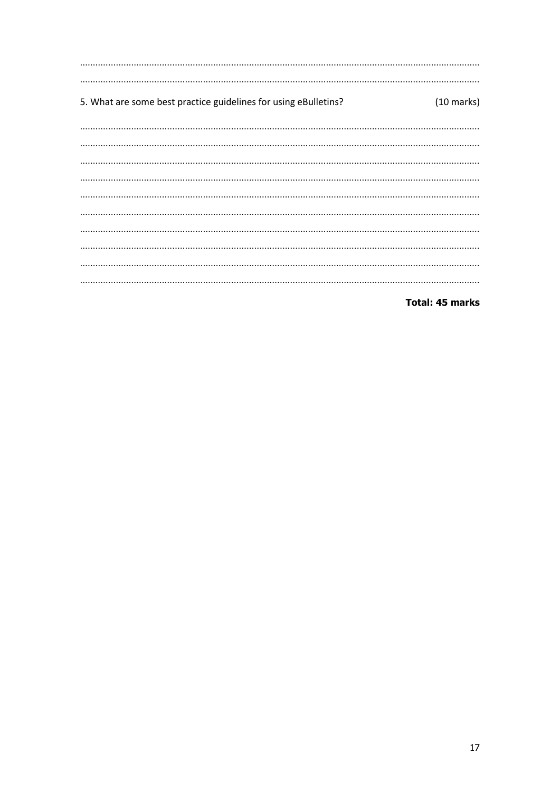5. What are some best practice guidelines for using eBulletins?  $(10 \text{ marks})$ 

**Total: 45 marks**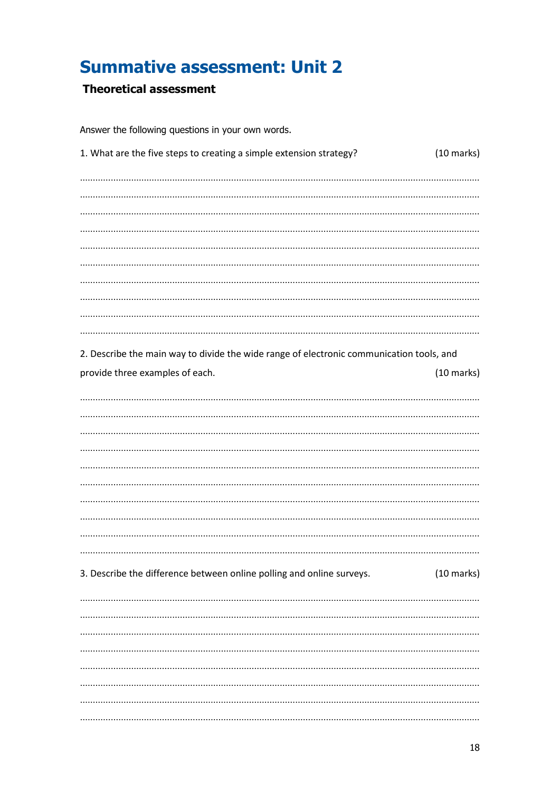## <span id="page-17-0"></span>**Summative assessment: Unit 2**

#### <span id="page-17-1"></span>**Theoretical assessment**

Answer the following questions in your own words.

| 1. What are the five steps to creating a simple extension strategy?                      | $(10 \text{ marks})$ |
|------------------------------------------------------------------------------------------|----------------------|
|                                                                                          |                      |
|                                                                                          |                      |
|                                                                                          |                      |
|                                                                                          |                      |
|                                                                                          |                      |
|                                                                                          |                      |
|                                                                                          |                      |
| 2. Describe the main way to divide the wide range of electronic communication tools, and |                      |
| provide three examples of each.                                                          | $(10 \text{ marks})$ |
|                                                                                          |                      |
|                                                                                          |                      |
|                                                                                          |                      |
|                                                                                          |                      |
|                                                                                          |                      |
|                                                                                          |                      |
|                                                                                          |                      |
| 3. Describe the difference between online polling and online surveys.                    | $(10 \text{ marks})$ |
|                                                                                          |                      |
|                                                                                          |                      |
|                                                                                          |                      |
|                                                                                          |                      |
|                                                                                          |                      |
|                                                                                          |                      |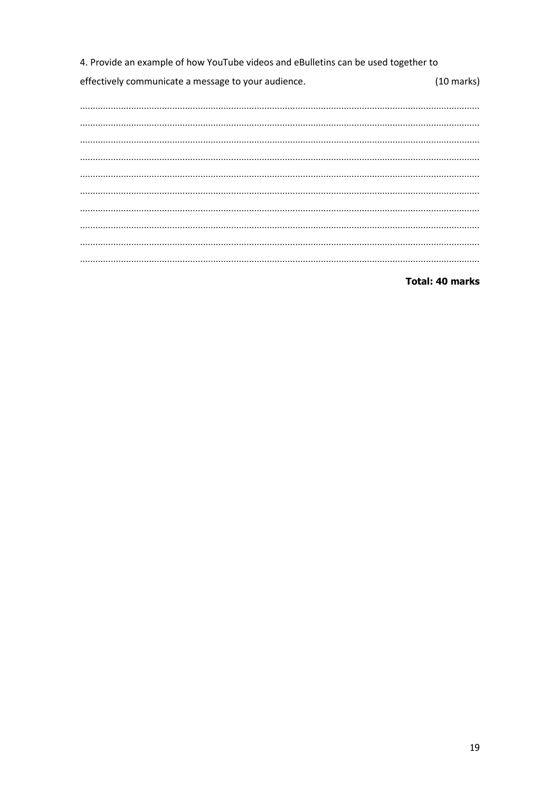4. Provide an example of how YouTube videos and eBulletins can be used together to effectively communicate a message to your audience.  $(10 \text{ marks})$ 

#### **Total: 40 marks**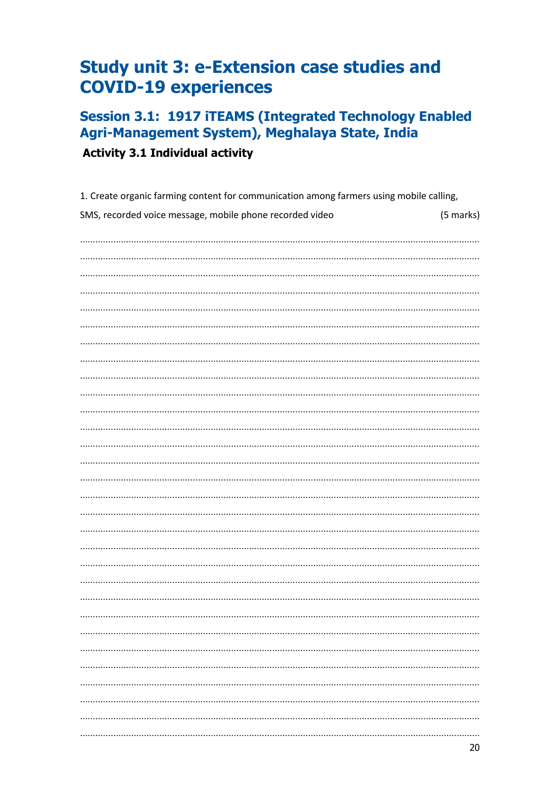## <span id="page-19-0"></span>**Study unit 3: e-Extension case studies and COVID-19 experiences**

## <span id="page-19-1"></span>**Session 3.1: 1917 ITEAMS (Integrated Technology Enabled** Agri-Management System), Meghalaya State, India

<span id="page-19-2"></span>**Activity 3.1 Individual activity** 

| 1. Create organic farming content for communication among farmers using mobile calling, |           |  |
|-----------------------------------------------------------------------------------------|-----------|--|
| SMS, recorded voice message, mobile phone recorded video                                | (5 marks) |  |
|                                                                                         |           |  |
|                                                                                         |           |  |
|                                                                                         |           |  |
|                                                                                         |           |  |
|                                                                                         |           |  |
|                                                                                         |           |  |
|                                                                                         |           |  |
|                                                                                         |           |  |
|                                                                                         |           |  |
|                                                                                         |           |  |
|                                                                                         |           |  |
|                                                                                         |           |  |
|                                                                                         |           |  |
|                                                                                         |           |  |
|                                                                                         |           |  |
|                                                                                         |           |  |
|                                                                                         |           |  |
|                                                                                         |           |  |
|                                                                                         |           |  |
|                                                                                         |           |  |
|                                                                                         |           |  |
|                                                                                         |           |  |
|                                                                                         |           |  |
|                                                                                         |           |  |
|                                                                                         |           |  |
|                                                                                         |           |  |
|                                                                                         |           |  |
|                                                                                         |           |  |
|                                                                                         |           |  |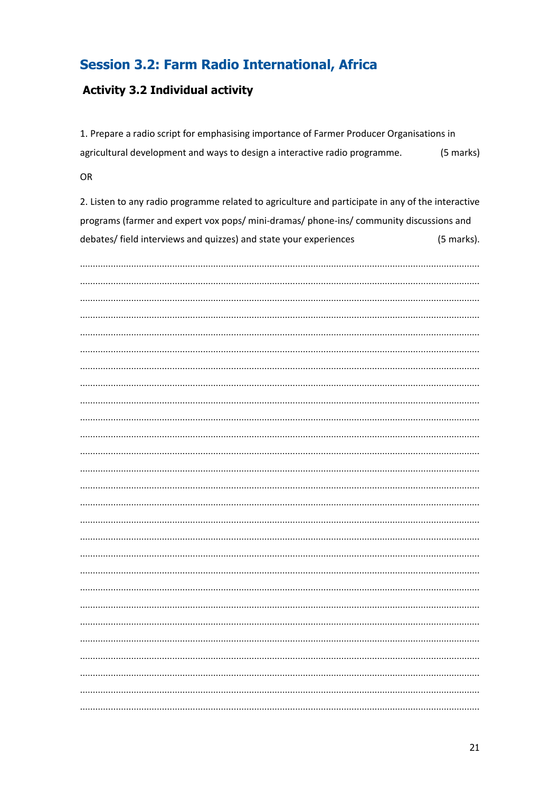#### <span id="page-20-0"></span>**Session 3.2: Farm Radio International, Africa**

#### <span id="page-20-1"></span>**Activity 3.2 Individual activity**

1. Prepare a radio script for emphasising importance of Farmer Producer Organisations in agricultural development and ways to design a interactive radio programme. (5 marks)

**OR** 

2. Listen to any radio programme related to agriculture and participate in any of the interactive programs (farmer and expert vox pops/ mini-dramas/ phone-ins/ community discussions and debates/ field interviews and quizzes) and state your experiences (5 marks).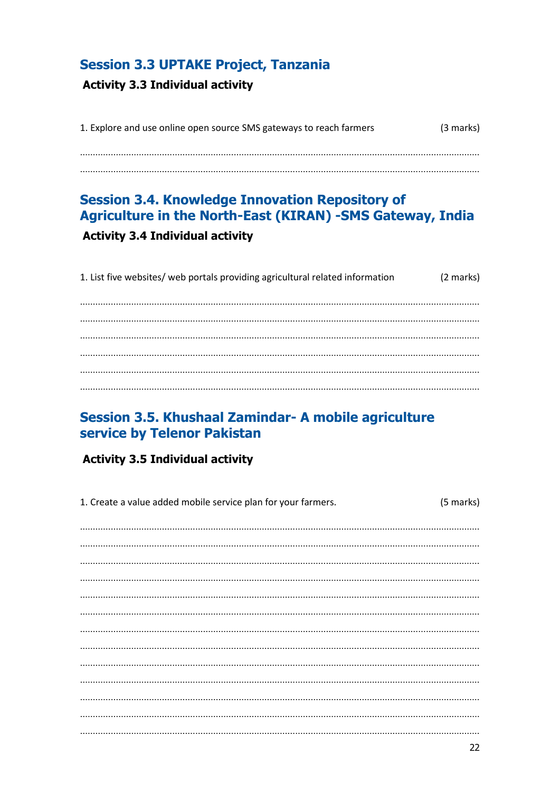#### <span id="page-21-0"></span>**Session 3.3 UPTAKE Project, Tanzania**

#### <span id="page-21-1"></span>**Activity 3.3 Individual activity**

| 1. Explore and use online open source SMS gateways to reach farmers | (3 marks) |
|---------------------------------------------------------------------|-----------|
|                                                                     |           |
|                                                                     |           |
|                                                                     |           |

## <span id="page-21-3"></span><span id="page-21-2"></span>**Session 3.4. Knowledge Innovation Repository of** Agriculture in the North-East (KIRAN) -SMS Gateway, India **Activity 3.4 Individual activity**

| 1. List five websites/ web portals providing agricultural related information | (2 marks) |
|-------------------------------------------------------------------------------|-----------|
|                                                                               |           |
|                                                                               |           |
|                                                                               |           |
|                                                                               |           |
|                                                                               |           |
|                                                                               |           |

#### <span id="page-21-4"></span>Session 3.5. Khushaal Zamindar- A mobile agriculture service by Telenor Pakistan

#### <span id="page-21-5"></span>**Activity 3.5 Individual activity**

| 1. Create a value added mobile service plan for your farmers. | (5 marks) |
|---------------------------------------------------------------|-----------|
|                                                               |           |
|                                                               |           |
|                                                               |           |
|                                                               |           |
|                                                               |           |
|                                                               |           |
|                                                               |           |
|                                                               |           |
|                                                               |           |
|                                                               |           |
|                                                               |           |
|                                                               |           |
|                                                               |           |
|                                                               |           |
|                                                               | 22        |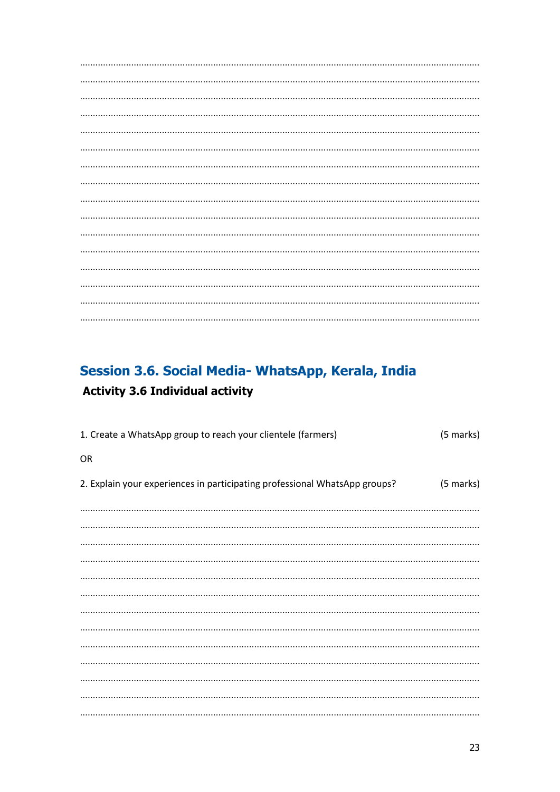## <span id="page-22-1"></span><span id="page-22-0"></span>Session 3.6. Social Media- WhatsApp, Kerala, India **Activity 3.6 Individual activity**

| 1. Create a WhatsApp group to reach your clientele (farmers)               | (5 marks) |
|----------------------------------------------------------------------------|-----------|
| OR                                                                         |           |
| 2. Explain your experiences in participating professional WhatsApp groups? | (5 marks) |
|                                                                            |           |
|                                                                            |           |
|                                                                            |           |
|                                                                            |           |
|                                                                            |           |
|                                                                            |           |
|                                                                            |           |
|                                                                            |           |
|                                                                            |           |
|                                                                            |           |
|                                                                            |           |
|                                                                            |           |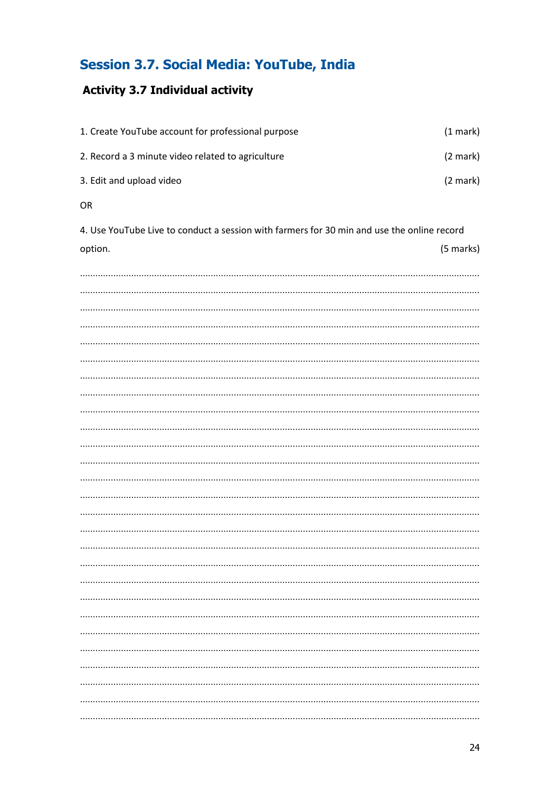## <span id="page-23-0"></span>**Session 3.7. Social Media: YouTube, India**

#### <span id="page-23-1"></span>**Activity 3.7 Individual activity**

| 1. Create YouTube account for professional purpose | $(1$ mark $)$      |
|----------------------------------------------------|--------------------|
| 2. Record a 3 minute video related to agriculture  | $(2 \text{ mark})$ |
| 3. Edit and upload video                           | $(2 \text{ mark})$ |

OR

4. Use YouTube Live to conduct a session with farmers for 30 min and use the online record (5 marks) option.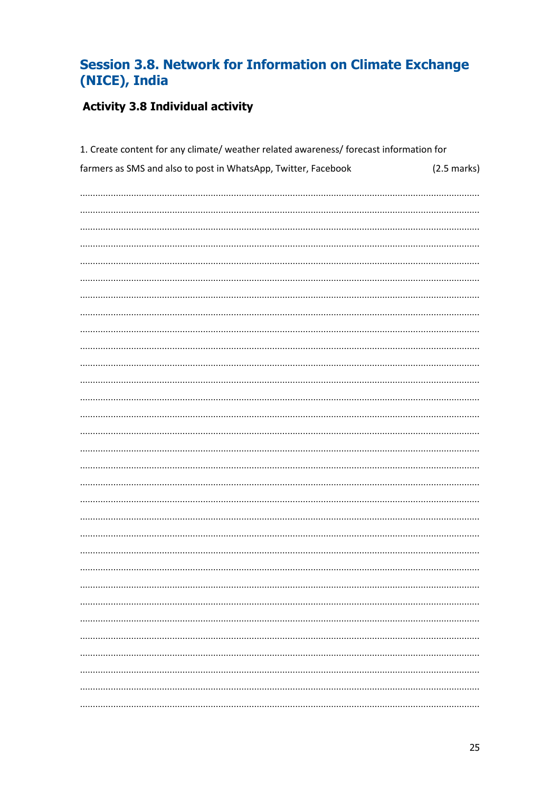## <span id="page-24-0"></span>Session 3.8. Network for Information on Climate Exchange (NICE), India

#### <span id="page-24-1"></span>**Activity 3.8 Individual activity**

| 1. Create content for any climate/ weather related awareness/ forecast information for |                       |  |
|----------------------------------------------------------------------------------------|-----------------------|--|
| farmers as SMS and also to post in WhatsApp, Twitter, Facebook                         | $(2.5 \text{ marks})$ |  |
|                                                                                        |                       |  |
|                                                                                        |                       |  |
|                                                                                        |                       |  |
|                                                                                        |                       |  |
|                                                                                        |                       |  |
|                                                                                        |                       |  |
|                                                                                        |                       |  |
|                                                                                        |                       |  |
|                                                                                        |                       |  |
|                                                                                        |                       |  |
|                                                                                        |                       |  |
|                                                                                        |                       |  |
|                                                                                        |                       |  |
|                                                                                        |                       |  |
|                                                                                        |                       |  |
|                                                                                        |                       |  |
|                                                                                        |                       |  |
|                                                                                        |                       |  |
|                                                                                        |                       |  |
|                                                                                        |                       |  |
|                                                                                        |                       |  |
|                                                                                        |                       |  |
|                                                                                        |                       |  |
|                                                                                        |                       |  |
|                                                                                        |                       |  |
|                                                                                        |                       |  |
|                                                                                        |                       |  |
|                                                                                        |                       |  |
|                                                                                        |                       |  |
|                                                                                        |                       |  |
|                                                                                        |                       |  |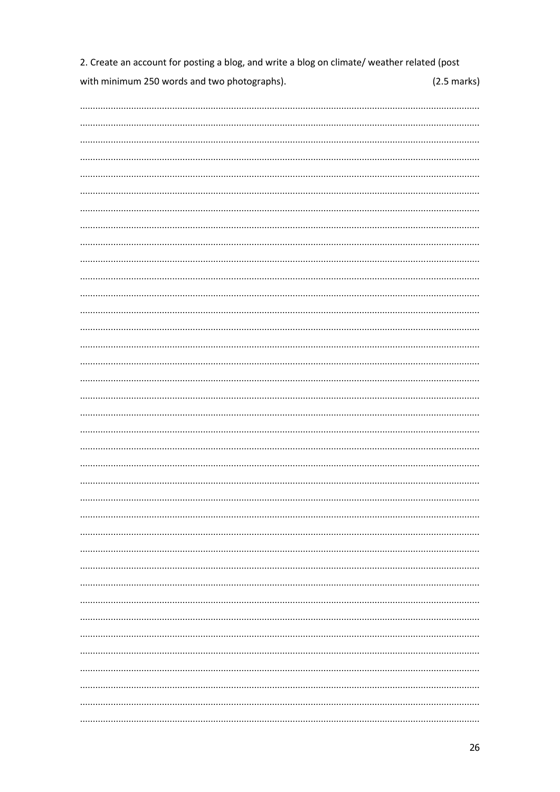2. Create an account for posting a blog, and write a blog on climate/ weather related (post with minimum 250 words and two photographs).  $(2.5 \text{ marks})$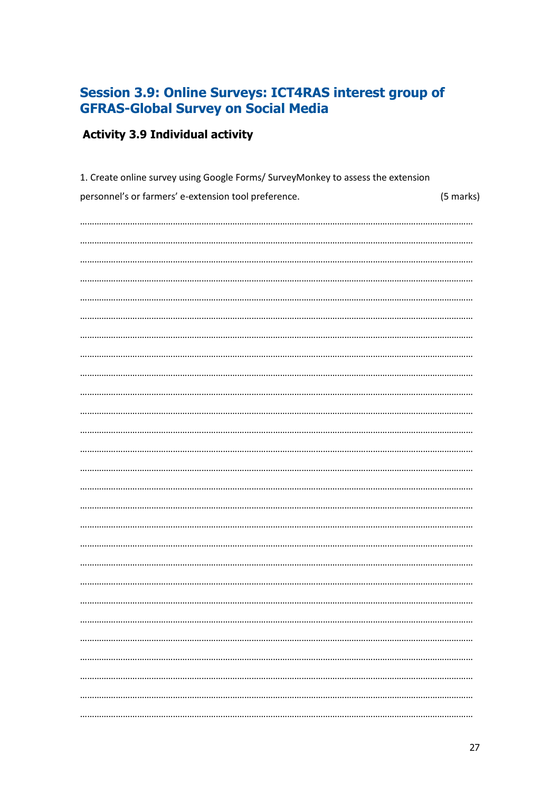### <span id="page-26-0"></span>Session 3.9: Online Surveys: ICT4RAS interest group of **GFRAS-Global Survey on Social Media**

## <span id="page-26-1"></span>**Activity 3.9 Individual activity**

| 1. Create online survey using Google Forms/ SurveyMonkey to assess the extension |           |  |  |
|----------------------------------------------------------------------------------|-----------|--|--|
| personnel's or farmers' e-extension tool preference.                             | (5 marks) |  |  |
|                                                                                  |           |  |  |
|                                                                                  |           |  |  |
|                                                                                  |           |  |  |
|                                                                                  |           |  |  |
|                                                                                  |           |  |  |
|                                                                                  |           |  |  |
|                                                                                  |           |  |  |
|                                                                                  |           |  |  |
|                                                                                  |           |  |  |
|                                                                                  |           |  |  |
|                                                                                  |           |  |  |
|                                                                                  |           |  |  |
|                                                                                  |           |  |  |
|                                                                                  |           |  |  |
|                                                                                  |           |  |  |
|                                                                                  |           |  |  |
|                                                                                  |           |  |  |
|                                                                                  |           |  |  |
|                                                                                  |           |  |  |
|                                                                                  |           |  |  |
|                                                                                  |           |  |  |
|                                                                                  |           |  |  |
|                                                                                  |           |  |  |
|                                                                                  |           |  |  |
|                                                                                  |           |  |  |
|                                                                                  |           |  |  |
|                                                                                  |           |  |  |
|                                                                                  |           |  |  |
|                                                                                  |           |  |  |
|                                                                                  |           |  |  |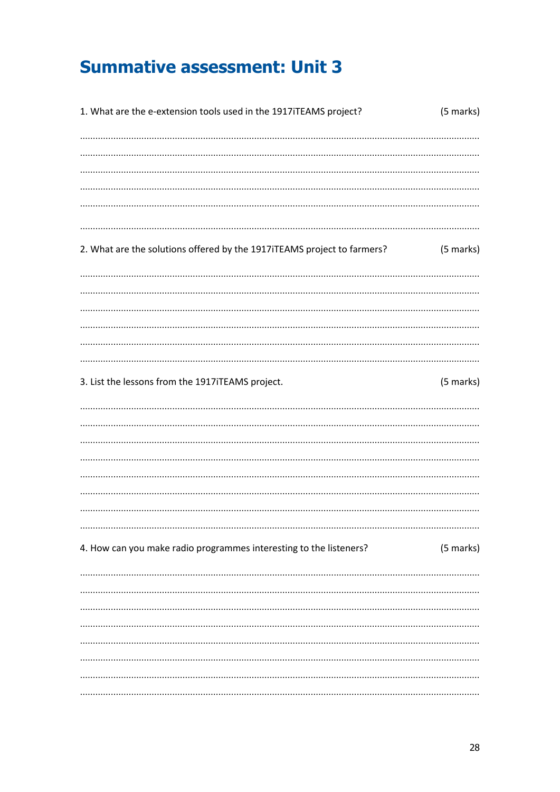## <span id="page-27-0"></span>**Summative assessment: Unit 3**

| 1. What are the e-extension tools used in the 1917iTEAMS project?       | (5 marks) |
|-------------------------------------------------------------------------|-----------|
|                                                                         |           |
|                                                                         |           |
|                                                                         |           |
|                                                                         |           |
|                                                                         |           |
| 2. What are the solutions offered by the 1917iTEAMS project to farmers? | (5 marks) |
|                                                                         |           |
|                                                                         |           |
|                                                                         |           |
|                                                                         |           |
|                                                                         |           |
| 3. List the lessons from the 1917iTEAMS project.                        | (5 marks) |
|                                                                         |           |
|                                                                         |           |
|                                                                         |           |
|                                                                         |           |
|                                                                         |           |
|                                                                         |           |
|                                                                         |           |
| 4. How can you make radio programmes interesting to the listeners?      | (5 marks) |
|                                                                         |           |
|                                                                         |           |
|                                                                         |           |
|                                                                         |           |
|                                                                         |           |
|                                                                         |           |
|                                                                         |           |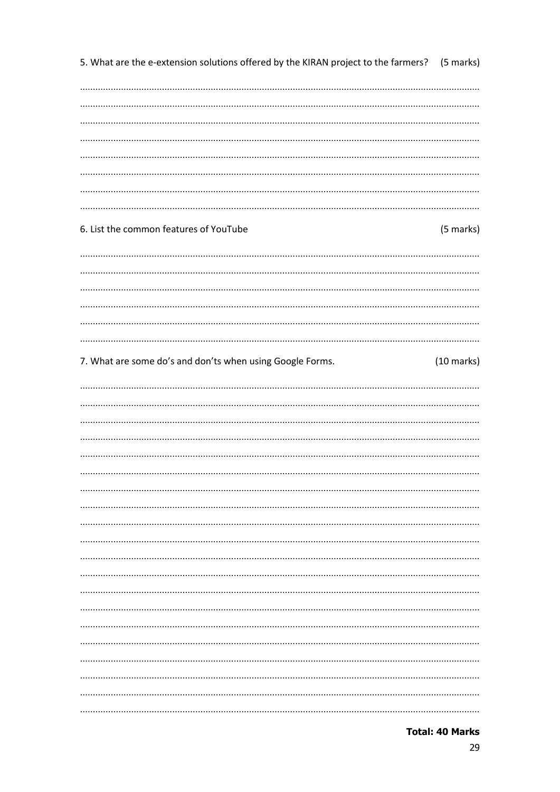5. What are the e-extension solutions offered by the KIRAN project to the farmers? (5 marks)

#### 6. List the common features of YouTube

#### (5 marks)

#### 7. What are some do's and don'ts when using Google Forms.  $(10 \text{ marks})$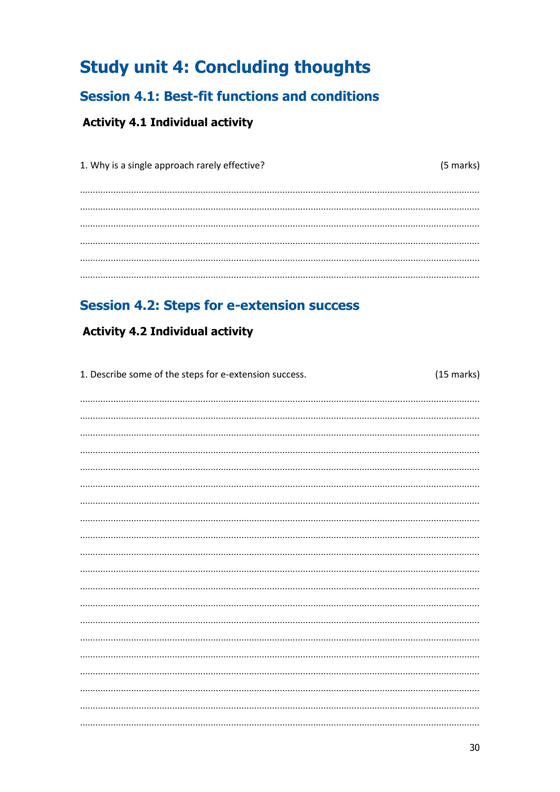## <span id="page-29-0"></span>**Study unit 4: Concluding thoughts**

## <span id="page-29-1"></span>**Session 4.1: Best-fit functions and conditions**

#### <span id="page-29-2"></span>**Activity 4.1 Individual activity**

| 1. Why is a single approach rarely effective? | (5 marks) |
|-----------------------------------------------|-----------|
|                                               |           |
|                                               |           |
|                                               |           |
|                                               |           |
|                                               |           |
|                                               |           |

### <span id="page-29-3"></span>**Session 4.2: Steps for e-extension success**

#### <span id="page-29-4"></span>**Activity 4.2 Individual activity**

| 1. Describe some of the steps for e-extension success. | $(15$ marks) |
|--------------------------------------------------------|--------------|
|                                                        |              |
|                                                        |              |
|                                                        |              |
|                                                        |              |
|                                                        |              |
|                                                        |              |
|                                                        |              |
|                                                        |              |
|                                                        |              |
|                                                        |              |
|                                                        |              |
|                                                        |              |
|                                                        |              |
|                                                        |              |
|                                                        |              |
|                                                        |              |
|                                                        |              |
|                                                        |              |
|                                                        |              |
|                                                        |              |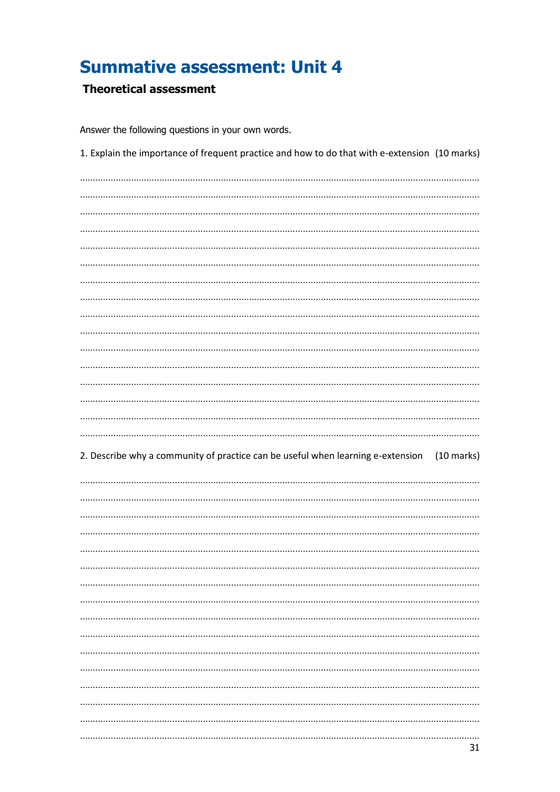## <span id="page-30-0"></span>**Summative assessment: Unit 4**

#### <span id="page-30-1"></span>**Theoretical assessment**

Answer the following questions in your own words.

| 1. Explain the importance of frequent practice and how to do that with e-extension (10 marks)           |
|---------------------------------------------------------------------------------------------------------|
|                                                                                                         |
|                                                                                                         |
|                                                                                                         |
|                                                                                                         |
|                                                                                                         |
|                                                                                                         |
|                                                                                                         |
|                                                                                                         |
|                                                                                                         |
|                                                                                                         |
|                                                                                                         |
|                                                                                                         |
|                                                                                                         |
|                                                                                                         |
|                                                                                                         |
|                                                                                                         |
|                                                                                                         |
|                                                                                                         |
|                                                                                                         |
| 2. Describe why a community of practice can be useful when learning e-extension<br>$(10 \text{ marks})$ |
|                                                                                                         |
|                                                                                                         |
|                                                                                                         |
|                                                                                                         |
|                                                                                                         |
|                                                                                                         |
|                                                                                                         |
|                                                                                                         |
|                                                                                                         |
|                                                                                                         |
|                                                                                                         |
|                                                                                                         |
|                                                                                                         |
|                                                                                                         |
|                                                                                                         |
|                                                                                                         |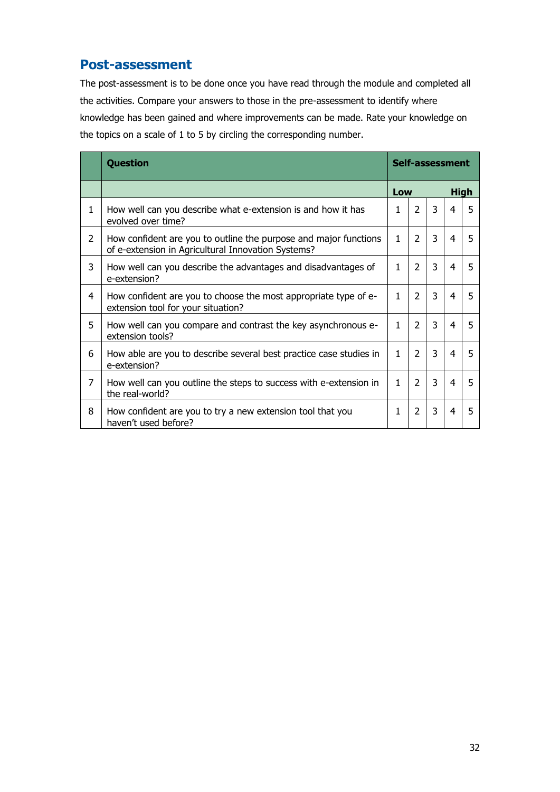#### <span id="page-31-0"></span>**Post-assessment**

The post-assessment is to be done once you have read through the module and completed all the activities. Compare your answers to those in the pre-assessment to identify where knowledge has been gained and where improvements can be made. Rate your knowledge on the topics on a scale of 1 to 5 by circling the corresponding number.

|   | <b>Question</b>                                                                                                        | Self-assessment |                |                |   |   |
|---|------------------------------------------------------------------------------------------------------------------------|-----------------|----------------|----------------|---|---|
|   |                                                                                                                        | Low             |                | <b>High</b>    |   |   |
| 1 | How well can you describe what e-extension is and how it has<br>evolved over time?                                     | 1               | $\overline{2}$ | $\overline{3}$ | 4 | 5 |
| 2 | How confident are you to outline the purpose and major functions<br>of e-extension in Agricultural Innovation Systems? | 1               | 2              | 3              | 4 | 5 |
| 3 | How well can you describe the advantages and disadvantages of<br>e-extension?                                          | 1               | $\overline{2}$ | $\overline{3}$ | 4 | 5 |
| 4 | How confident are you to choose the most appropriate type of e-<br>extension tool for your situation?                  | 1               | $\overline{2}$ | $\overline{3}$ | 4 | 5 |
| 5 | How well can you compare and contrast the key asynchronous e-<br>extension tools?                                      | 1               | $\mathcal{P}$  | 3              | 4 | 5 |
| 6 | How able are you to describe several best practice case studies in<br>e-extension?                                     | 1               | 2              | $\overline{3}$ | 4 | 5 |
| 7 | How well can you outline the steps to success with e-extension in<br>the real-world?                                   | $\mathbf{1}$    | $\mathcal{P}$  | 3              | 4 | 5 |
| 8 | How confident are you to try a new extension tool that you<br>haven't used before?                                     | 1               | 2              | 3              | 4 | 5 |